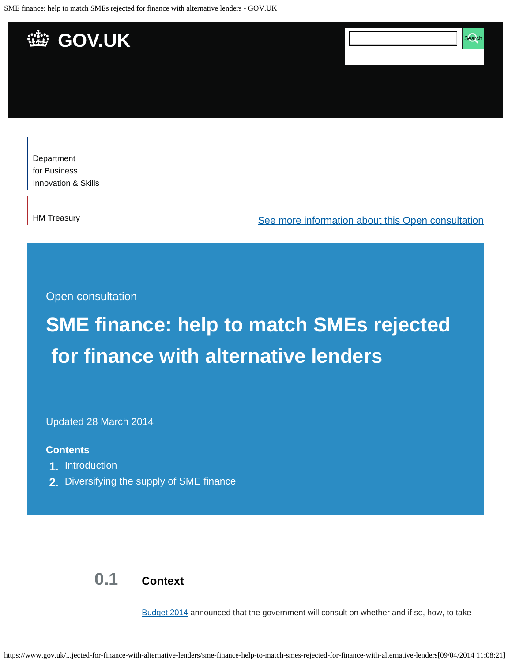SME finance: help to match SMEs rejected for finance with alternative lenders - GOV.UK



[Department](https://www.gov.uk/government/organisations/department-for-business-innovation-skills)  [for Business](https://www.gov.uk/government/organisations/department-for-business-innovation-skills) [Innovation & Skills](https://www.gov.uk/government/organisations/department-for-business-innovation-skills)

[HM Treasury](https://www.gov.uk/government/organisations/hm-treasury)

[See more information about this Open consultation](https://www.gov.uk/government/consultations/sme-finance-help-to-match-smes-rejected-for-finance-with-alternative-lenders)

Open consultation

# **SME finance: help to match SMEs rejected for finance with alternative lenders**

Updated 28 March 2014

#### **Contents**

- **1.** [Introduction](#page-2-0)
- **2.** [Diversifying the supply of SME finance](#page-5-0)

## **0.1 Context**

[Budget 2014](https://www.gov.uk/government/topical-events/budget-2014) announced that the government will consult on whether and if so, how, to take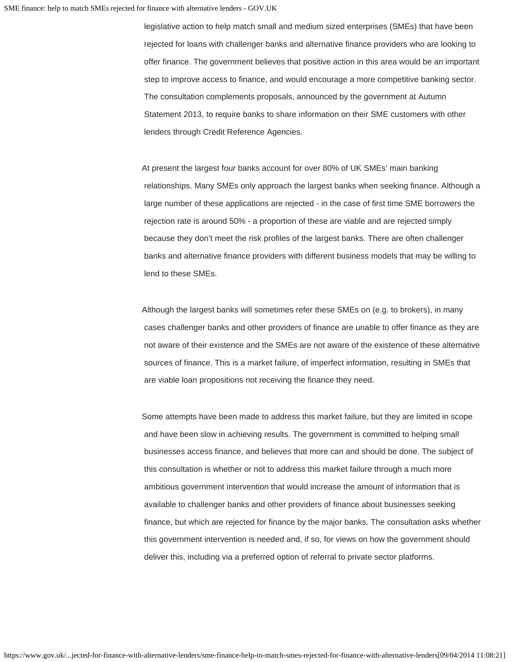legislative action to help match small and medium sized enterprises (SMEs) that have been rejected for loans with challenger banks and alternative finance providers who are looking to offer finance. The government believes that positive action in this area would be an important step to improve access to finance, and would encourage a more competitive banking sector. The consultation complements proposals, announced by the government at Autumn Statement 2013, to require banks to share information on their SME customers with other lenders through Credit Reference Agencies.

At present the largest four banks account for over 80% of UK SMEs' main banking relationships. Many SMEs only approach the largest banks when seeking finance. Although a large number of these applications are rejected - in the case of first time SME borrowers the rejection rate is around 50% - a proportion of these are viable and are rejected simply because they don't meet the risk profiles of the largest banks. There are often challenger banks and alternative finance providers with different business models that may be willing to lend to these SMEs.

Although the largest banks will sometimes refer these SMEs on (e.g. to brokers), in many cases challenger banks and other providers of finance are unable to offer finance as they are not aware of their existence and the SMEs are not aware of the existence of these alternative sources of finance. This is a market failure, of imperfect information, resulting in SMEs that are viable loan propositions not receiving the finance they need.

Some attempts have been made to address this market failure, but they are limited in scope and have been slow in achieving results. The government is committed to helping small businesses access finance, and believes that more can and should be done. The subject of this consultation is whether or not to address this market failure through a much more ambitious government intervention that would increase the amount of information that is available to challenger banks and other providers of finance about businesses seeking finance, but which are rejected for finance by the major banks. The consultation asks whether this government intervention is needed and, if so, for views on how the government should deliver this, including via a preferred option of referral to private sector platforms.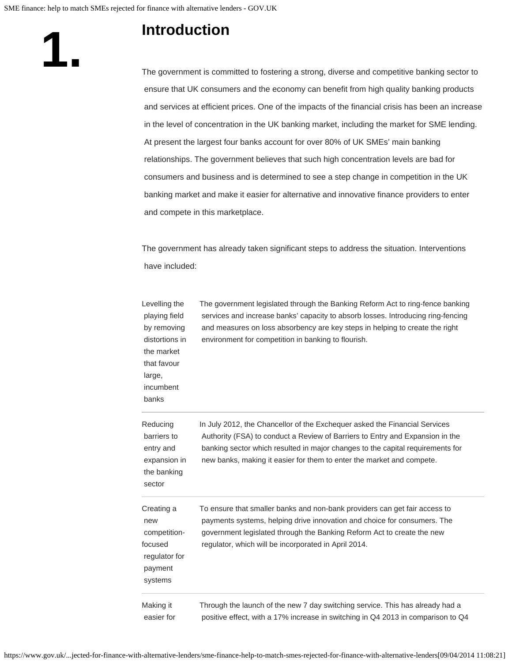### **Introduction**

<span id="page-2-0"></span>**1.**

The government is committed to fostering a strong, diverse and competitive banking sector to ensure that UK consumers and the economy can benefit from high quality banking products and services at efficient prices. One of the impacts of the financial crisis has been an increase in the level of concentration in the UK banking market, including the market for SME lending. At present the largest four banks account for over 80% of UK SMEs' main banking relationships. The government believes that such high concentration levels are bad for consumers and business and is determined to see a step change in competition in the UK banking market and make it easier for alternative and innovative finance providers to enter and compete in this marketplace.

The government has already taken significant steps to address the situation. Interventions have included:

| Levelling the<br>playing field<br>by removing<br>distortions in<br>the market<br>that favour<br>large,<br>incumbent<br>banks | The government legislated through the Banking Reform Act to ring-fence banking<br>services and increase banks' capacity to absorb losses. Introducing ring-fencing<br>and measures on loss absorbency are key steps in helping to create the right<br>environment for competition in banking to flourish.              |
|------------------------------------------------------------------------------------------------------------------------------|------------------------------------------------------------------------------------------------------------------------------------------------------------------------------------------------------------------------------------------------------------------------------------------------------------------------|
| Reducing<br>barriers to<br>entry and<br>expansion in<br>the banking<br>sector                                                | In July 2012, the Chancellor of the Exchequer asked the Financial Services<br>Authority (FSA) to conduct a Review of Barriers to Entry and Expansion in the<br>banking sector which resulted in major changes to the capital requirements for<br>new banks, making it easier for them to enter the market and compete. |
| Creating a<br>new<br>competition-<br>focused<br>regulator for<br>payment<br>systems                                          | To ensure that smaller banks and non-bank providers can get fair access to<br>payments systems, helping drive innovation and choice for consumers. The<br>government legislated through the Banking Reform Act to create the new<br>regulator, which will be incorporated in April 2014.                               |
| Making it<br>easier for                                                                                                      | Through the launch of the new 7 day switching service. This has already had a<br>positive effect, with a 17% increase in switching in Q4 2013 in comparison to Q4                                                                                                                                                      |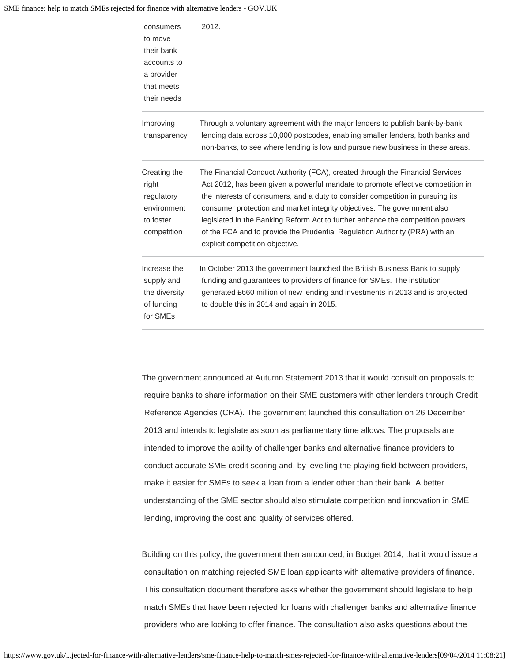#### SME finance: help to match SMEs rejected for finance with alternative lenders - GOV.UK

| consumers<br>to move<br>their bank<br>accounts to<br>a provider<br>that meets<br>their needs | 2012.                                                                                                                                                                                                                                                                                                                                                                                                                                                                                                                              |
|----------------------------------------------------------------------------------------------|------------------------------------------------------------------------------------------------------------------------------------------------------------------------------------------------------------------------------------------------------------------------------------------------------------------------------------------------------------------------------------------------------------------------------------------------------------------------------------------------------------------------------------|
| Improving<br>transparency                                                                    | Through a voluntary agreement with the major lenders to publish bank-by-bank<br>lending data across 10,000 postcodes, enabling smaller lenders, both banks and<br>non-banks, to see where lending is low and pursue new business in these areas.                                                                                                                                                                                                                                                                                   |
| Creating the<br>right<br>regulatory<br>environment<br>to foster<br>competition               | The Financial Conduct Authority (FCA), created through the Financial Services<br>Act 2012, has been given a powerful mandate to promote effective competition in<br>the interests of consumers, and a duty to consider competition in pursuing its<br>consumer protection and market integrity objectives. The government also<br>legislated in the Banking Reform Act to further enhance the competition powers<br>of the FCA and to provide the Prudential Regulation Authority (PRA) with an<br>explicit competition objective. |
| Increase the<br>supply and<br>the diversity<br>of funding<br>for SMEs                        | In October 2013 the government launched the British Business Bank to supply<br>funding and guarantees to providers of finance for SMEs. The institution<br>generated £660 million of new lending and investments in 2013 and is projected<br>to double this in 2014 and again in 2015.                                                                                                                                                                                                                                             |

The government announced at Autumn Statement 2013 that it would consult on proposals to require banks to share information on their SME customers with other lenders through Credit Reference Agencies (CRA). The government launched this consultation on 26 December 2013 and intends to legislate as soon as parliamentary time allows. The proposals are intended to improve the ability of challenger banks and alternative finance providers to conduct accurate SME credit scoring and, by levelling the playing field between providers, make it easier for SMEs to seek a loan from a lender other than their bank. A better understanding of the SME sector should also stimulate competition and innovation in SME lending, improving the cost and quality of services offered.

Building on this policy, the government then announced, in Budget 2014, that it would issue a consultation on matching rejected SME loan applicants with alternative providers of finance. This consultation document therefore asks whether the government should legislate to help match SMEs that have been rejected for loans with challenger banks and alternative finance providers who are looking to offer finance. The consultation also asks questions about the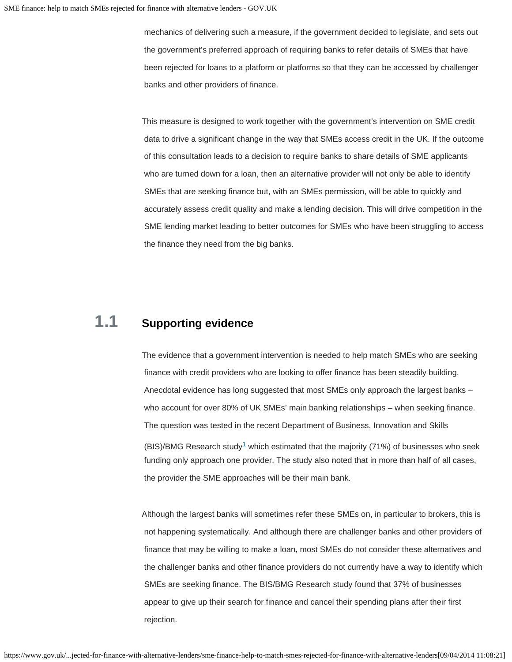mechanics of delivering such a measure, if the government decided to legislate, and sets out the government's preferred approach of requiring banks to refer details of SMEs that have been rejected for loans to a platform or platforms so that they can be accessed by challenger banks and other providers of finance.

This measure is designed to work together with the government's intervention on SME credit data to drive a significant change in the way that SMEs access credit in the UK. If the outcome of this consultation leads to a decision to require banks to share details of SME applicants who are turned down for a loan, then an alternative provider will not only be able to identify SMEs that are seeking finance but, with an SMEs permission, will be able to quickly and accurately assess credit quality and make a lending decision. This will drive competition in the SME lending market leading to better outcomes for SMEs who have been struggling to access the finance they need from the big banks.

### **1.1 Supporting evidence**

The evidence that a government intervention is needed to help match SMEs who are seeking finance with credit providers who are looking to offer finance has been steadily building. Anecdotal evidence has long suggested that most SMEs only approach the largest banks – who account for over 80% of UK SMEs' main banking relationships – when seeking finance. The question was tested in the recent Department of Business, Innovation and Skills (BIS)/BMG Research study<sup>1</sup> which estimated that the majority (71%) of businesses who seek funding only approach one provider. The study also noted that in more than half of all cases,

Although the largest banks will sometimes refer these SMEs on, in particular to brokers, this is not happening systematically. And although there are challenger banks and other providers of finance that may be willing to make a loan, most SMEs do not consider these alternatives and the challenger banks and other finance providers do not currently have a way to identify which SMEs are seeking finance. The BIS/BMG Research study found that 37% of businesses appear to give up their search for finance and cancel their spending plans after their first rejection.

<span id="page-4-0"></span>the provider the SME approaches will be their main bank.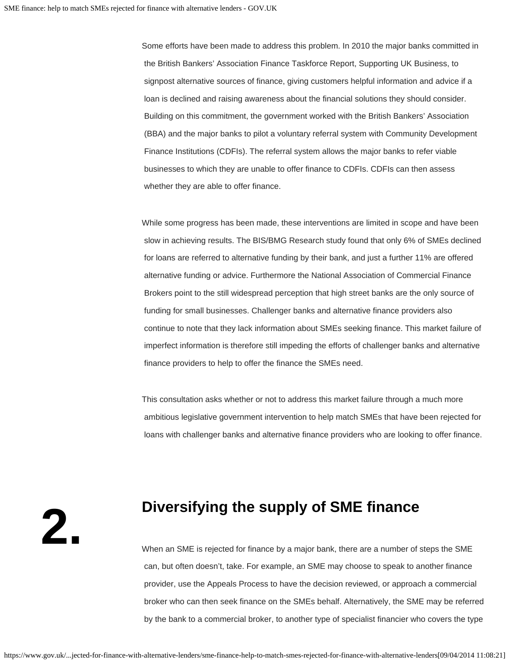Some efforts have been made to address this problem. In 2010 the major banks committed in the British Bankers' Association Finance Taskforce Report, Supporting UK Business, to signpost alternative sources of finance, giving customers helpful information and advice if a loan is declined and raising awareness about the financial solutions they should consider. Building on this commitment, the government worked with the British Bankers' Association (BBA) and the major banks to pilot a voluntary referral system with Community Development Finance Institutions (CDFIs). The referral system allows the major banks to refer viable businesses to which they are unable to offer finance to CDFIs. CDFIs can then assess whether they are able to offer finance.

While some progress has been made, these interventions are limited in scope and have been slow in achieving results. The BIS/BMG Research study found that only 6% of SMEs declined for loans are referred to alternative funding by their bank, and just a further 11% are offered alternative funding or advice. Furthermore the National Association of Commercial Finance Brokers point to the still widespread perception that high street banks are the only source of funding for small businesses. Challenger banks and alternative finance providers also continue to note that they lack information about SMEs seeking finance. This market failure of imperfect information is therefore still impeding the efforts of challenger banks and alternative finance providers to help to offer the finance the SMEs need.

This consultation asks whether or not to address this market failure through a much more ambitious legislative government intervention to help match SMEs that have been rejected for loans with challenger banks and alternative finance providers who are looking to offer finance.

<span id="page-5-0"></span>**2.**

### **Diversifying the supply of SME finance**

When an SME is rejected for finance by a major bank, there are a number of steps the SME can, but often doesn't, take. For example, an SME may choose to speak to another finance provider, use the Appeals Process to have the decision reviewed, or approach a commercial broker who can then seek finance on the SMEs behalf. Alternatively, the SME may be referred by the bank to a commercial broker, to another type of specialist financier who covers the type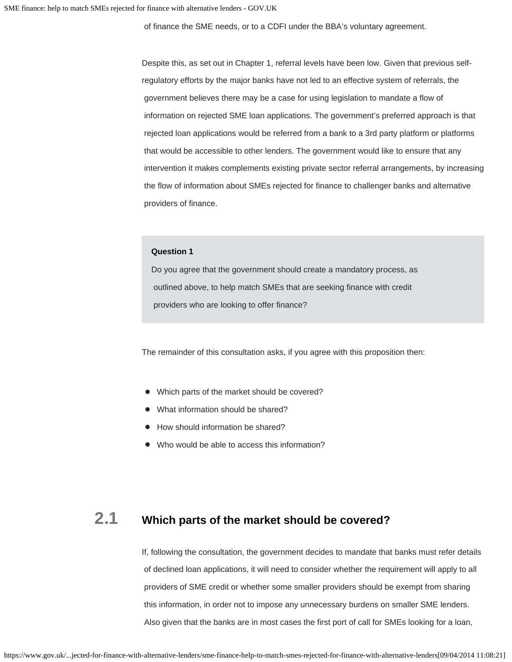of finance the SME needs, or to a CDFI under the BBA's voluntary agreement.

Despite this, as set out in Chapter 1, referral levels have been low. Given that previous selfregulatory efforts by the major banks have not led to an effective system of referrals, the government believes there may be a case for using legislation to mandate a flow of information on rejected SME loan applications. The government's preferred approach is that rejected loan applications would be referred from a bank to a 3rd party platform or platforms that would be accessible to other lenders. The government would like to ensure that any intervention it makes complements existing private sector referral arrangements, by increasing the flow of information about SMEs rejected for finance to challenger banks and alternative providers of finance.

#### **Question 1**

Do you agree that the government should create a mandatory process, as outlined above, to help match SMEs that are seeking finance with credit providers who are looking to offer finance?

The remainder of this consultation asks, if you agree with this proposition then:

- Which parts of the market should be covered?
- What information should be shared?
- How should information be shared?
- Who would be able to access this information?

### **2.1 Which parts of the market should be covered?**

If, following the consultation, the government decides to mandate that banks must refer details of declined loan applications, it will need to consider whether the requirement will apply to all providers of SME credit or whether some smaller providers should be exempt from sharing this information, in order not to impose any unnecessary burdens on smaller SME lenders. Also given that the banks are in most cases the first port of call for SMEs looking for a loan,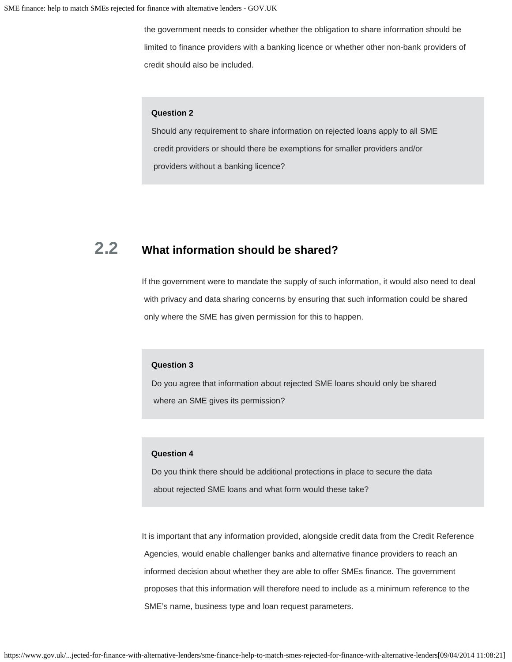the government needs to consider whether the obligation to share information should be limited to finance providers with a banking licence or whether other non-bank providers of credit should also be included.

#### **Question 2**

Should any requirement to share information on rejected loans apply to all SME credit providers or should there be exemptions for smaller providers and/or providers without a banking licence?

### **2.2 What information should be shared?**

If the government were to mandate the supply of such information, it would also need to deal with privacy and data sharing concerns by ensuring that such information could be shared only where the SME has given permission for this to happen.

#### **Question 3**

Do you agree that information about rejected SME loans should only be shared where an SME gives its permission?

#### **Question 4**

Do you think there should be additional protections in place to secure the data about rejected SME loans and what form would these take?

It is important that any information provided, alongside credit data from the Credit Reference Agencies, would enable challenger banks and alternative finance providers to reach an informed decision about whether they are able to offer SMEs finance. The government proposes that this information will therefore need to include as a minimum reference to the SME's name, business type and loan request parameters.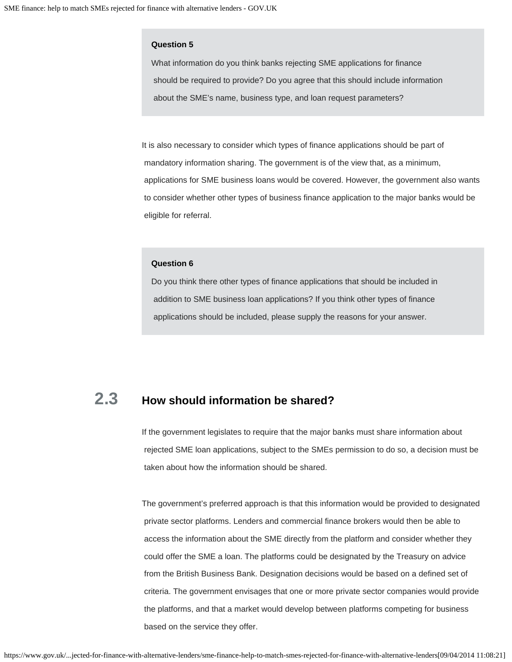#### **Question 5**

What information do you think banks rejecting SME applications for finance should be required to provide? Do you agree that this should include information about the SME's name, business type, and loan request parameters?

It is also necessary to consider which types of finance applications should be part of mandatory information sharing. The government is of the view that, as a minimum, applications for SME business loans would be covered. However, the government also wants to consider whether other types of business finance application to the major banks would be eligible for referral.

#### **Question 6**

Do you think there other types of finance applications that should be included in addition to SME business loan applications? If you think other types of finance applications should be included, please supply the reasons for your answer.

### **2.3 How should information be shared?**

If the government legislates to require that the major banks must share information about rejected SME loan applications, subject to the SMEs permission to do so, a decision must be taken about how the information should be shared.

The government's preferred approach is that this information would be provided to designated private sector platforms. Lenders and commercial finance brokers would then be able to access the information about the SME directly from the platform and consider whether they could offer the SME a loan. The platforms could be designated by the Treasury on advice from the British Business Bank. Designation decisions would be based on a defined set of criteria. The government envisages that one or more private sector companies would provide the platforms, and that a market would develop between platforms competing for business based on the service they offer.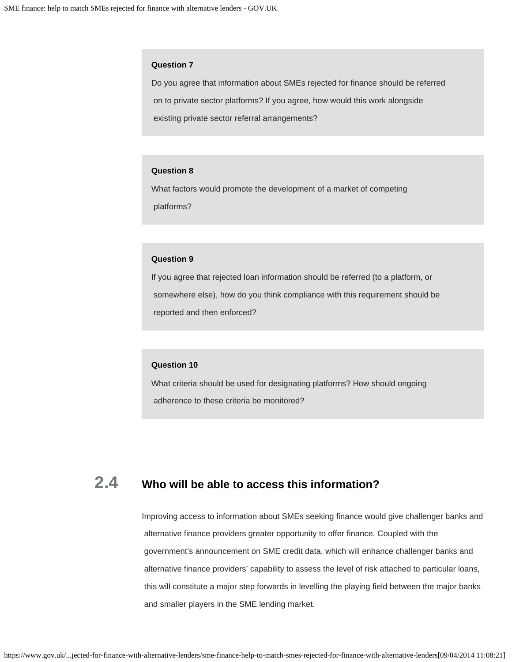#### **Question 7**

Do you agree that information about SMEs rejected for finance should be referred on to private sector platforms? If you agree, how would this work alongside existing private sector referral arrangements?

#### **Question 8**

What factors would promote the development of a market of competing platforms?

#### **Question 9**

If you agree that rejected loan information should be referred (to a platform, or somewhere else), how do you think compliance with this requirement should be reported and then enforced?

#### **Question 10**

What criteria should be used for designating platforms? How should ongoing adherence to these criteria be monitored?

# **2.4 Who will be able to access this information?**

Improving access to information about SMEs seeking finance would give challenger banks and alternative finance providers greater opportunity to offer finance. Coupled with the government's announcement on SME credit data, which will enhance challenger banks and alternative finance providers' capability to assess the level of risk attached to particular loans, this will constitute a major step forwards in levelling the playing field between the major banks and smaller players in the SME lending market.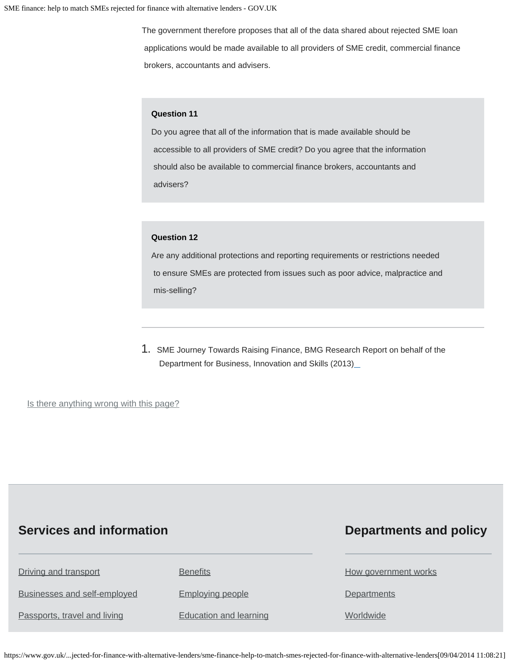The government therefore proposes that all of the data shared about rejected SME loan applications would be made available to all providers of SME credit, commercial finance brokers, accountants and advisers.

#### **Question 11**

Do you agree that all of the information that is made available should be accessible to all providers of SME credit? Do you agree that the information should also be available to commercial finance brokers, accountants and advisers?

#### **Question 12**

Are any additional protections and reporting requirements or restrictions needed to ensure SMEs are protected from issues such as poor advice, malpractice and mis-selling?

1. SME Journey Towards Raising Finance, BMG Research Report on behalf of the Department for Business, Innovation and Skills (2013[\)](#page-4-0)

<span id="page-10-0"></span>Is there anything wrong with this page?

### **Services and information**

### **Departments and policy**

| Driving and transport        | <b>Benefits</b>               | How government works |
|------------------------------|-------------------------------|----------------------|
| Businesses and self-employed | <b>Employing people</b>       | Departments          |
| Passports, travel and living | <b>Education and learning</b> | Worldwide            |

https://www.gov.uk/...jected-for-finance-with-alternative-lenders/sme-finance-help-to-match-smes-rejected-for-finance-with-alternative-lenders[09/04/2014 11:08:21]